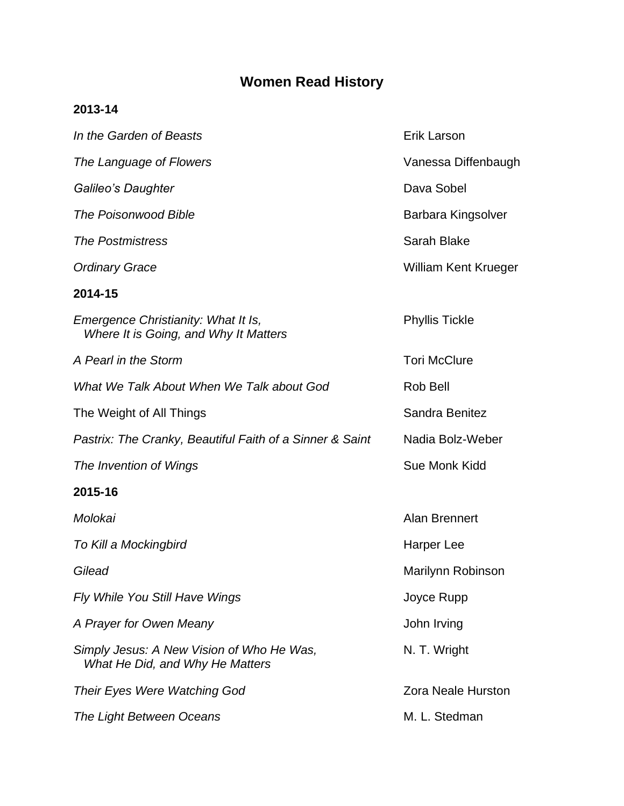## **Women Read History**

## **2013-14**

| In the Garden of Beasts                                                      | <b>Erik Larson</b>          |
|------------------------------------------------------------------------------|-----------------------------|
| The Language of Flowers                                                      | Vanessa Diffenbaugh         |
| Galileo's Daughter                                                           | Dava Sobel                  |
| <b>The Poisonwood Bible</b>                                                  | Barbara Kingsolver          |
| <b>The Postmistress</b>                                                      | Sarah Blake                 |
| <b>Ordinary Grace</b>                                                        | <b>William Kent Krueger</b> |
| 2014-15                                                                      |                             |
| Emergence Christianity: What It Is,<br>Where It is Going, and Why It Matters | <b>Phyllis Tickle</b>       |
| A Pearl in the Storm                                                         | <b>Tori McClure</b>         |
| What We Talk About When We Talk about God                                    | Rob Bell                    |
| The Weight of All Things                                                     | Sandra Benitez              |
| Pastrix: The Cranky, Beautiful Faith of a Sinner & Saint                     | Nadia Bolz-Weber            |
| The Invention of Wings                                                       | Sue Monk Kidd               |
| 2015-16                                                                      |                             |
| Molokai                                                                      | <b>Alan Brennert</b>        |
| To Kill a Mockingbird                                                        | Harper Lee                  |
| Gilead                                                                       | Marilynn Robinson           |
| Fly While You Still Have Wings                                               | Joyce Rupp                  |
| A Prayer for Owen Meany                                                      | John Irving                 |
| Simply Jesus: A New Vision of Who He Was,<br>What He Did, and Why He Matters | N. T. Wright                |
| Their Eyes Were Watching God                                                 | <b>Zora Neale Hurston</b>   |
| The Light Between Oceans                                                     | M. L. Stedman               |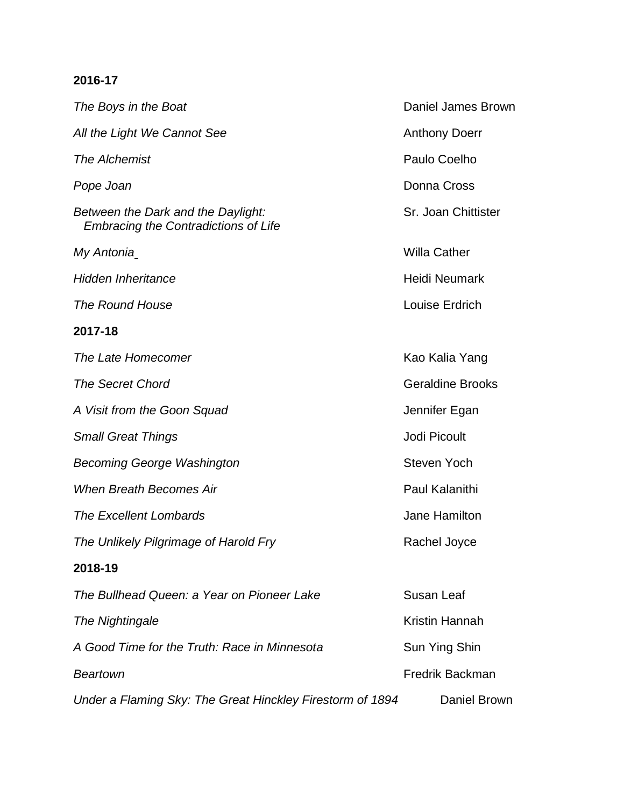## **2016-17**

**The Boys in the Boat** Daniel James Brown All the Light We Cannot See **All the Light We Cannot See** Anthony Doerr *The Alchemist* Paulo Coelho **Pope Joan** Donna Cross *Between the Dark and the Daylight:* Sr. Joan Chittister  *Embracing the Contradictions of Life My Antonia* Willa Cather *Hidden Inheritance* Manual Accounts and the Heidi Neumark *The Round House* Louise Erdrich **2017-18 The Late Homecomer Kao Kalia Yang The Secret Chord** Chorner Chorner Chorner Chorner Chorner Channel Channel Channel Channel Channel Channel Channel Channel Channel Channel Channel Channel Channel Channel Channel Channel Channel Channel Channel Channel Cha A Visit from the Goon Squad **A Visit from the Goon Squad Small Great Things Small Great Things Jodi Picoult Becoming George Washington** Steven Yoch *When Breath Becomes Air* Paul Kalanithi **The Excellent Lombards Community Jane Hamilton The Unlikely Pilgrimage of Harold Fry The Unlikely Pilgrimage of Harold Fry 2018-19** *The Bullhead Queen: a Year on Pioneer Lake* Susan Leaf **The Nightingale Kristin Hannah** A Good Time for the Truth: Race in Minnesota Sun Ying Shin **Beartown Beartown Example 2008 Branch Example 2008 Example 2009 Example 2009 Example 2009 Example 2009** *Under a Flaming Sky: The Great Hinckley Firestorm of 1894* Daniel Brown